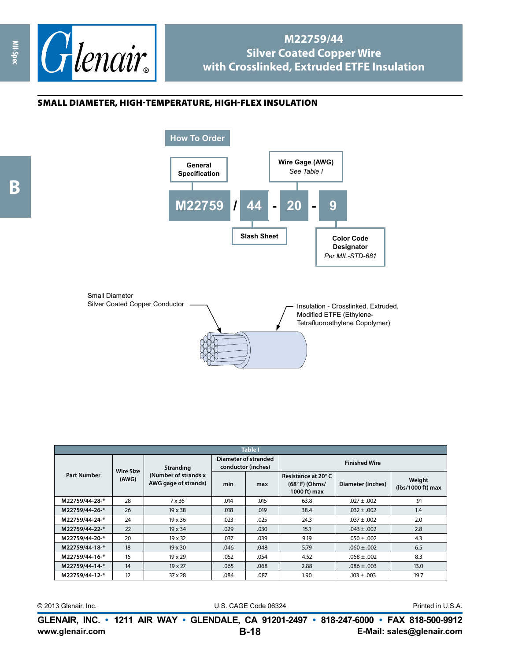

## **M22759/44 Silver Coated Copper Wire with Crosslinked, Extruded ETFE Insulation**

## small diameter, high-temperature, high-flex insulation



| <b>Table I</b>     |                           |                                                                  |                                            |      |                                                        |                   |                             |  |
|--------------------|---------------------------|------------------------------------------------------------------|--------------------------------------------|------|--------------------------------------------------------|-------------------|-----------------------------|--|
| <b>Part Number</b> | <b>Wire Size</b><br>(AWG) | <b>Stranding</b><br>(Number of strands x<br>AWG gage of strands) | Diameter of stranded<br>conductor (inches) |      | <b>Finished Wire</b>                                   |                   |                             |  |
|                    |                           |                                                                  | min                                        | max  | Resistance at 20°C<br>$(68° F)$ (Ohms/<br>1000 ft) max | Diameter (inches) | Weight<br>(lbs/1000 ft) max |  |
| M22759/44-28-*     | 28                        | 7 x 36                                                           | .014                                       | .015 | 63.8                                                   | $.027 \pm .002$   | .91                         |  |
| M22759/44-26-*     | 26                        | $19 \times 38$                                                   | .018                                       | .019 | 38.4                                                   | $.032 \pm .002$   | 1.4                         |  |
| M22759/44-24-*     | 24                        | 19 x 36                                                          | .023                                       | .025 | 24.3                                                   | $.037 \pm .002$   | 2.0                         |  |
| M22759/44-22-*     | 22                        | 19 x 34                                                          | .029                                       | .030 | 15.1                                                   | $.043 \pm .002$   | 2.8                         |  |
| M22759/44-20-*     | 20                        | $19 \times 32$                                                   | .037                                       | .039 | 9.19                                                   | $.050 \pm .002$   | 4.3                         |  |
| M22759/44-18-*     | 18                        | $19 \times 30$                                                   | .046                                       | .048 | 5.79                                                   | $.060 \pm .002$   | 6.5                         |  |
| M22759/44-16-*     | 16                        | $19 \times 29$                                                   | .052                                       | .054 | 4.52                                                   | $.068 \pm .002$   | 8.3                         |  |
| M22759/44-14-*     | 14                        | 19 x 27                                                          | .065                                       | .068 | 2.88                                                   | $.086 \pm .003$   | 13.0                        |  |
| M22759/44-12-*     | 12                        | 37 x 28                                                          | .084                                       | .087 | 1.90                                                   | $.103 \pm .003$   | 19.7                        |  |

© 2013 Glenair, Inc. U.S. CAGE Code 06324 Printed in U.S.A.

**www.glenair.com E-Mail: sales@glenair.com GLENAIR, INC. • 1211 AIR WAY • GLENDALE, CA 91201-2497 • 818-247-6000 • FAX 818-500-9912 B-18**

**Mil-Spec**